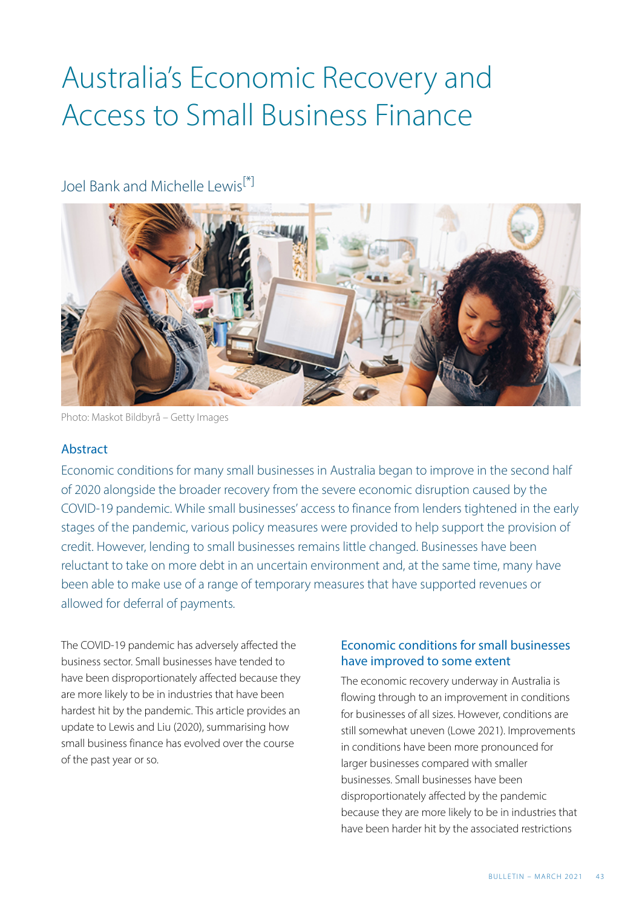## Australia's Economic Recovery and Access to Small Business Finance

### <span id="page-0-0"></span>Joel Bank and Michelle Lewis<sup>[\[\\*\]](#page-6-0)</sup>



Photo: Maskot Bildbyrå – Getty Images

#### Abstract

Economic conditions for many small businesses in Australia began to improve in the second half of 2020 alongside the broader recovery from the severe economic disruption caused by the COVID-19 pandemic. While small businesses' access to finance from lenders tightened in the early stages of the pandemic, various policy measures were provided to help support the provision of credit. However, lending to small businesses remains little changed. Businesses have been reluctant to take on more debt in an uncertain environment and, at the same time, many have been able to make use of a range of temporary measures that have supported revenues or allowed for deferral of payments.

The COVID-19 pandemic has adversely affected the business sector. Small businesses have tended to have been disproportionately affected because they are more likely to be in industries that have been hardest hit by the pandemic. This article provides an update to Lewis and Liu (2020), summarising how small business finance has evolved over the course of the past year or so.

#### Economic conditions for small businesses have improved to some extent

The economic recovery underway in Australia is flowing through to an improvement in conditions for businesses of all sizes. However, conditions are still somewhat uneven (Lowe 2021). Improvements in conditions have been more pronounced for larger businesses compared with smaller businesses. Small businesses have been disproportionately affected by the pandemic because they are more likely to be in industries that have been harder hit by the associated restrictions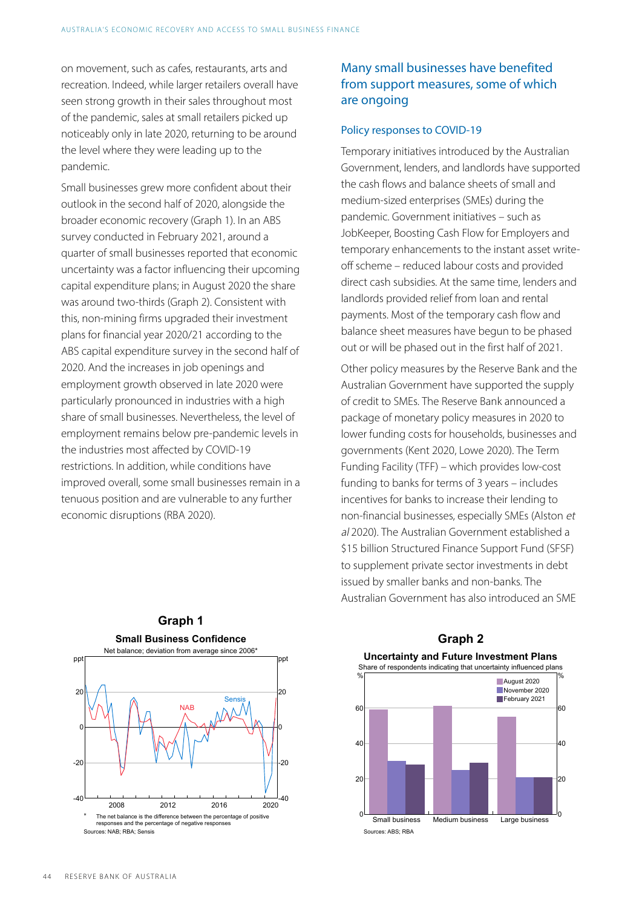on movement, such as cafes, restaurants, arts and recreation. Indeed, while larger retailers overall have seen strong growth in their sales throughout most of the pandemic, sales at small retailers picked up noticeably only in late 2020, returning to be around the level where they were leading up to the pandemic.

Small businesses grew more confident about their outlook in the second half of 2020, alongside the broader economic recovery (Graph 1). In an ABS survey conducted in February 2021, around a quarter of small businesses reported that economic uncertainty was a factor influencing their upcoming capital expenditure plans; in August 2020 the share was around two-thirds (Graph 2). Consistent with this, non-mining firms upgraded their investment plans for financial year 2020/21 according to the ABS capital expenditure survey in the second half of 2020. And the increases in job openings and employment growth observed in late 2020 were particularly pronounced in industries with a high share of small businesses. Nevertheless, the level of employment remains below pre-pandemic levels in the industries most affected by COVID-19 restrictions. In addition, while conditions have improved overall, some small businesses remain in a tenuous position and are vulnerable to any further economic disruptions (RBA 2020).

#### Many small businesses have benefited from support measures, some of which are ongoing

#### Policy responses to COVID-19

Temporary initiatives introduced by the Australian Government, lenders, and landlords have supported the cash flows and balance sheets of small and medium-sized enterprises (SMEs) during the pandemic. Government initiatives – such as JobKeeper, Boosting Cash Flow for Employers and temporary enhancements to the instant asset writeoff scheme – reduced labour costs and provided direct cash subsidies. At the same time, lenders and landlords provided relief from loan and rental payments. Most of the temporary cash flow and balance sheet measures have begun to be phased out or will be phased out in the first half of 2021.

Other policy measures by the Reserve Bank and the Australian Government have supported the supply of credit to SMEs. The Reserve Bank announced a package of monetary policy measures in 2020 to lower funding costs for households, businesses and governments (Kent 2020, Lowe 2020). The Term Funding Facility (TFF) – which provides low-cost funding to banks for terms of 3 years – includes incentives for banks to increase their lending to non-financial businesses, especially SMEs (Alston et al 2020). The Australian Government established a \$15 billion Structured Finance Support Fund (SFSF) to supplement private sector investments in debt issued by smaller banks and non-banks. The Australian Government has also introduced an SME





# **Graph 2**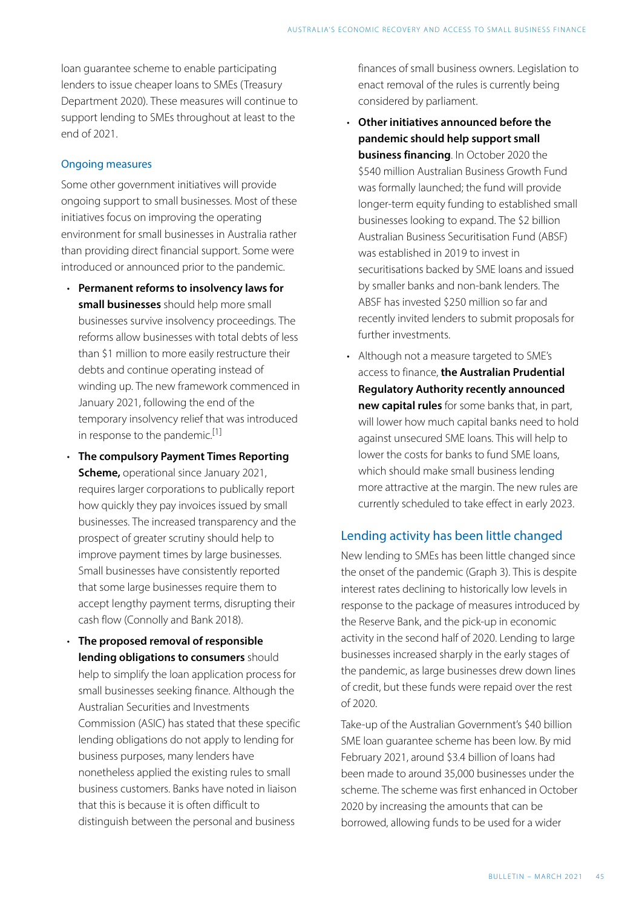loan guarantee scheme to enable participating lenders to issue cheaper loans to SMEs (Treasury Department 2020). These measures will continue to support lending to SMEs throughout at least to the end of 2021.

#### Ongoing measures

Some other government initiatives will provide ongoing support to small businesses. Most of these initiatives focus on improving the operating environment for small businesses in Australia rather than providing direct financial support. Some were introduced or announced prior to the pandemic.

- **Permanent reforms to insolvency laws for small businesses** should help more small businesses survive insolvency proceedings. The reforms allow businesses with total debts of less than \$1 million to more easily restructure their debts and continue operating instead of winding up. The new framework commenced in January 2021, following the end of the temporary insolvency relief that was introduced in response to the pandemic.<sup>[1]</sup>
- <span id="page-2-0"></span>• **The compulsory Payment Times Reporting Scheme,** operational since January 2021, requires larger corporations to publically report how quickly they pay invoices issued by small businesses. The increased transparency and the prospect of greater scrutiny should help to improve payment times by large businesses. Small businesses have consistently reported that some large businesses require them to accept lengthy payment terms, disrupting their cash flow (Connolly and Bank 2018).
- **The proposed removal of responsible lending obligations to consumers** should help to simplify the loan application process for small businesses seeking finance. Although the Australian Securities and Investments Commission (ASIC) has stated that these specific lending obligations do not apply to lending for business purposes, many lenders have nonetheless applied the existing rules to small business customers. Banks have noted in liaison that this is because it is often difficult to distinguish between the personal and business

finances of small business owners. Legislation to enact removal of the rules is currently being considered by parliament.

- **Other initiatives announced before the pandemic should help support small business financing**. In October 2020 the \$540 million Australian Business Growth Fund was formally launched; the fund will provide longer-term equity funding to established small businesses looking to expand. The \$2 billion Australian Business Securitisation Fund (ABSF) was established in 2019 to invest in securitisations backed by SME loans and issued by smaller banks and non-bank lenders. The ABSF has invested \$250 million so far and recently invited lenders to submit proposals for further investments.
- Although not a measure targeted to SME's access to finance, **the Australian Prudential Regulatory Authority recently announced new capital rules** for some banks that, in part, will lower how much capital banks need to hold against unsecured SME loans. This will help to lower the costs for banks to fund SME loans, which should make small business lending more attractive at the margin. The new rules are currently scheduled to take effect in early 2023.

#### Lending activity has been little changed

New lending to SMEs has been little changed since the onset of the pandemic (Graph 3). This is despite interest rates declining to historically low levels in response to the package of measures introduced by the Reserve Bank, and the pick-up in economic activity in the second half of 2020. Lending to large businesses increased sharply in the early stages of the pandemic, as large businesses drew down lines of credit, but these funds were repaid over the rest of 2020.

Take-up of the Australian Government's \$40 billion SME loan guarantee scheme has been low. By mid February 2021, around \$3.4 billion of loans had been made to around 35,000 businesses under the scheme. The scheme was first enhanced in October 2020 by increasing the amounts that can be borrowed, allowing funds to be used for a wider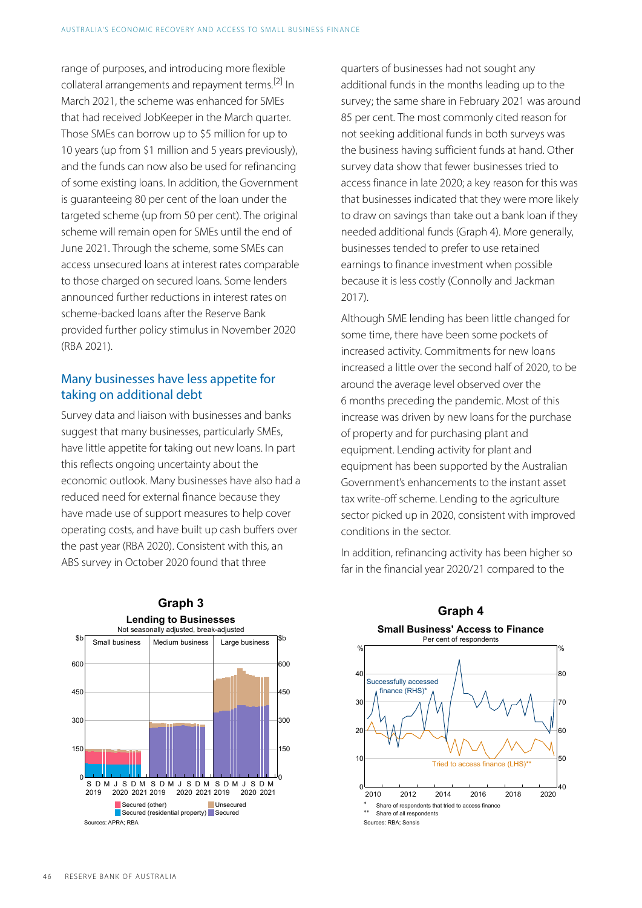<span id="page-3-0"></span>range of purposes, and introducing more flexible collateral arrangements and repayment terms.<sup>[\[2\]](#page-6-2)</sup> In March 2021, the scheme was enhanced for SMEs that had received JobKeeper in the March quarter. Those SMEs can borrow up to \$5 million for up to 10 years (up from \$1 million and 5 years previously), and the funds can now also be used for refinancing of some existing loans. In addition, the Government is guaranteeing 80 per cent of the loan under the targeted scheme (up from 50 per cent). The original scheme will remain open for SMEs until the end of June 2021. Through the scheme, some SMEs can access unsecured loans at interest rates comparable to those charged on secured loans. Some lenders announced further reductions in interest rates on scheme-backed loans after the Reserve Bank provided further policy stimulus in November 2020 (RBA 2021).

#### Many businesses have less appetite for taking on additional debt

Survey data and liaison with businesses and banks suggest that many businesses, particularly SMEs, have little appetite for taking out new loans. In part this reflects ongoing uncertainty about the economic outlook. Many businesses have also had a reduced need for external finance because they have made use of support measures to help cover operating costs, and have built up cash buffers over the past year (RBA 2020). Consistent with this, an ABS survey in October 2020 found that three



quarters of businesses had not sought any additional funds in the months leading up to the survey; the same share in February 2021 was around 85 per cent. The most commonly cited reason for not seeking additional funds in both surveys was the business having sufficient funds at hand. Other survey data show that fewer businesses tried to access finance in late 2020; a key reason for this was that businesses indicated that they were more likely to draw on savings than take out a bank loan if they needed additional funds (Graph 4). More generally, businesses tended to prefer to use retained earnings to finance investment when possible because it is less costly (Connolly and Jackman 2017).

Although SME lending has been little changed for some time, there have been some pockets of increased activity. Commitments for new loans increased a little over the second half of 2020, to be around the average level observed over the 6 months preceding the pandemic. Most of this increase was driven by new loans for the purchase of property and for purchasing plant and equipment. Lending activity for plant and equipment has been supported by the Australian Government's enhancements to the instant asset tax write-off scheme. Lending to the agriculture sector picked up in 2020, consistent with improved conditions in the sector.

In addition, refinancing activity has been higher so far in the financial year 2020/21 compared to the

**Graph 4** 

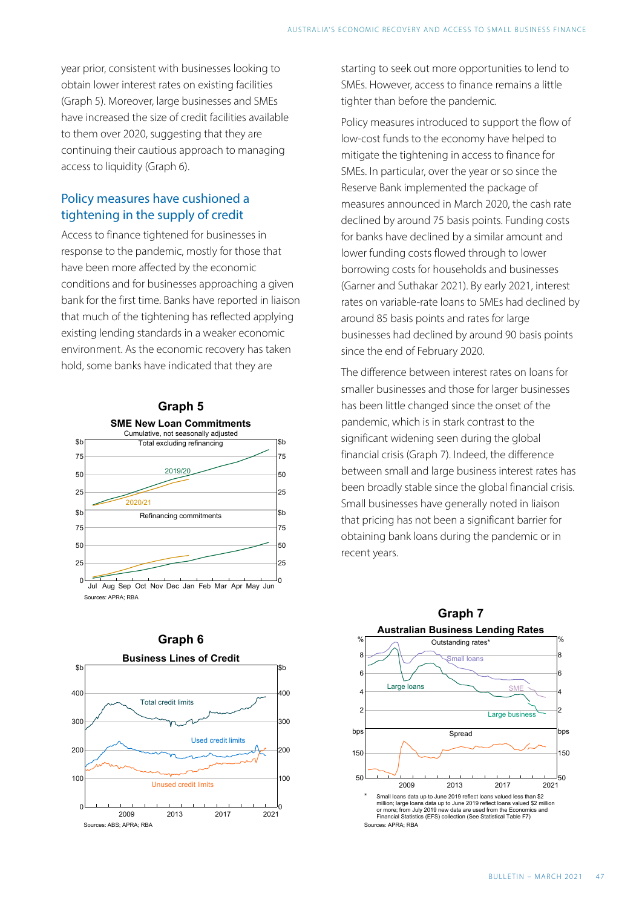year prior, consistent with businesses looking to obtain lower interest rates on existing facilities (Graph 5). Moreover, large businesses and SMEs have increased the size of credit facilities available to them over 2020, suggesting that they are continuing their cautious approach to managing access to liquidity (Graph 6).

#### Policy measures have cushioned a tightening in the supply of credit

Access to finance tightened for businesses in response to the pandemic, mostly for those that have been more affected by the economic conditions and for businesses approaching a given bank for the first time. Banks have reported in liaison that much of the tightening has reflected applying existing lending standards in a weaker economic environment. As the economic recovery has taken hold, some banks have indicated that they are





Policy measures introduced to support the flow of low-cost funds to the economy have helped to mitigate the tightening in access to finance for SMEs. In particular, over the year or so since the Reserve Bank implemented the package of measures announced in March 2020, the cash rate declined by around 75 basis points. Funding costs for banks have declined by a similar amount and lower funding costs flowed through to lower borrowing costs for households and businesses (Garner and Suthakar 2021). By early 2021, interest rates on variable-rate loans to SMEs had declined by around 85 basis points and rates for large businesses had declined by around 90 basis points since the end of February 2020.

The difference between interest rates on loans for smaller businesses and those for larger businesses has been little changed since the onset of the pandemic, which is in stark contrast to the significant widening seen during the global financial crisis (Graph 7). Indeed, the difference between small and large business interest rates has been broadly stable since the global financial crisis. Small businesses have generally noted in liaison that pricing has not been a significant barrier for obtaining bank loans during the pandemic or in recent years.



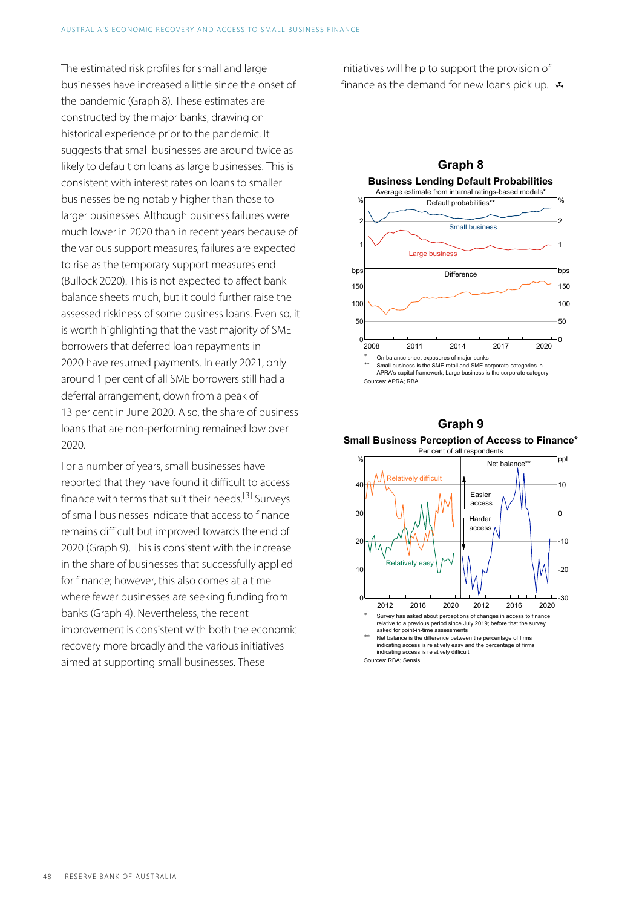The estimated risk profiles for small and large businesses have increased a little since the onset of the pandemic (Graph 8). These estimates are constructed by the major banks, drawing on historical experience prior to the pandemic. It suggests that small businesses are around twice as likely to default on loans as large businesses. This is consistent with interest rates on loans to smaller businesses being notably higher than those to larger businesses. Although business failures were much lower in 2020 than in recent years because of the various support measures, failures are expected to rise as the temporary support measures end (Bullock 2020). This is not expected to affect bank balance sheets much, but it could further raise the assessed riskiness of some business loans. Even so, it is worth highlighting that the vast majority of SME borrowers that deferred loan repayments in 2020 have resumed payments. In early 2021, only around 1 per cent of all SME borrowers still had a deferral arrangement, down from a peak of 13 per cent in June 2020. Also, the share of business loans that are non-performing remained low over 2020.

<span id="page-5-0"></span>For a number of years, small businesses have reported that they have found it difficult to access finance with terms that suit their needs.<sup>[\[3\]](#page-6-3)</sup> Surveys of small businesses indicate that access to finance remains difficult but improved towards the end of 2020 (Graph 9). This is consistent with the increase in the share of businesses that successfully applied for finance; however, this also comes at a time where fewer businesses are seeking funding from banks (Graph 4). Nevertheless, the recent improvement is consistent with both the economic recovery more broadly and the various initiatives aimed at supporting small businesses. These

initiatives will help to support the provision of finance as the demand for new loans pick up.  $\mathbf{\bar{v}}$ 







Sources: RBA; Sensis